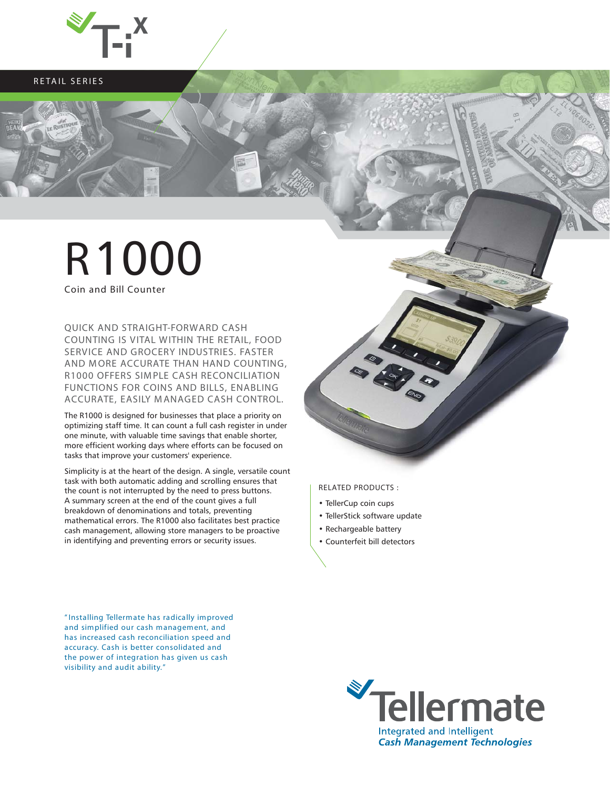

**RETAIL SERIES**

## **R**1000

**Coin and Bill Counter**

**QUICK AND STRAIGHT-FORWARD CASH COUNTING IS VITAL WITHIN THE RETAIL, FOOD SERVICE AND GROCERY INDUSTRIES. FASTER AND MORE ACCURATE THAN HAND COUNTING, R1000 OFFERS SIM PLE CASH RECONCILIATION FUNCTIONS FOR COINS AND BILLS, ENABLING ACCURATE, EASILY M ANAGED CASH CONTROL.**

The R1000 is designed for businesses that place a priority on optimizing staff time. It can count a full cash register in under one minute, with valuable time savings that enable shorter, more efficient working days where efforts can be focused on tasks that improve your customers' experience.

Simplicity is at the heart of the design. A single, versatile count task with both automatic adding and scrolling ensures that the count is not interrupted by the need to press buttons. A summary screen at the end of the count gives a full breakdown of denominations and totals, preventing mathematical errors. The R1000 also facilitates best practice cash management, allowing store managers to be proactive in identifying and preventing errors or security issues.

**RELATED PRODUCTS :**

- TellerCup coin cups
- TellerStick software update
- Rechargeable battery
- Counterfeit bill detectors

**" Installing Tellermate has radically improved and simplified our cash management, and has increased cash reconciliation speed and accuracy. Cash is better consolidated and the power of integration has given us cash visibility and audit ability. "**